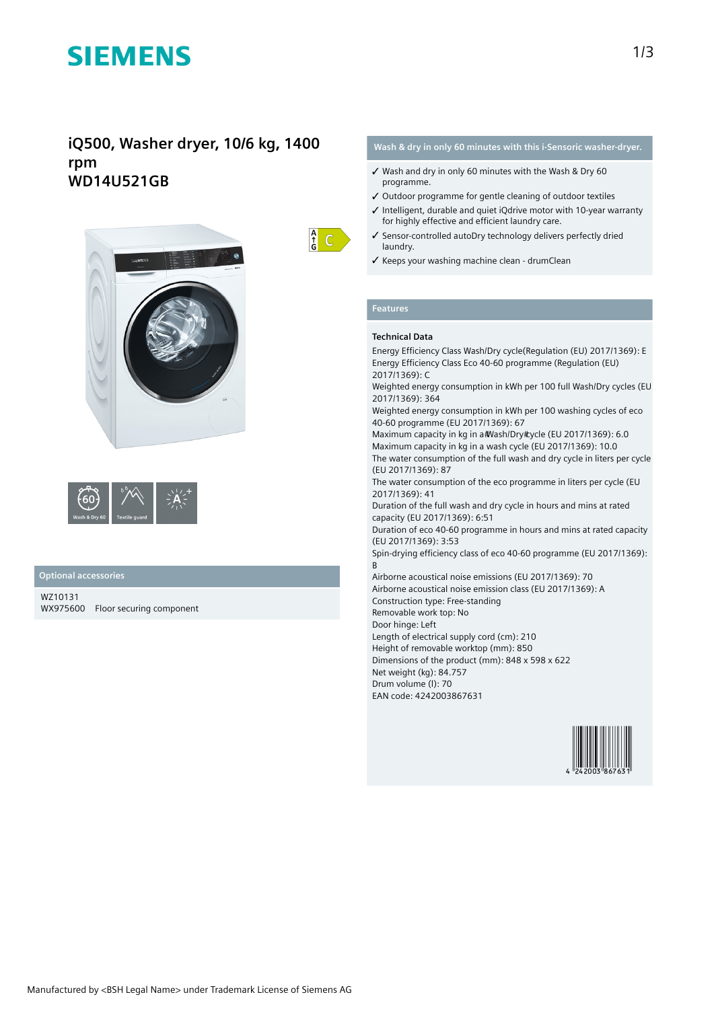# **SIEMENS**

# **iQ500, Washer dryer, 10/6 kg, 1400 rpm WD14U521GB**





### **Optional accessories**

WZ10131 WX975600 Floor securing component



# **Wash & dry in only 60 minutes with this i-Sensoric washer-dryer.**

- ✓ Wash and dry in only 60 minutes with the Wash & Dry 60 programme.
- ✓ Outdoor programme for gentle cleaning of outdoor textiles
- ✓ Intelligent, durable and quiet iQdrive motor with 10-year warranty for highly effective and efficient laundry care.
- ✓ Sensor-controlled autoDry technology delivers perfectly dried laundry.
- ✓ Keeps your washing machine clean drumClean

# **Features**

# **Technical Data**

Energy Efficiency Class Wash/Dry cycle(Regulation (EU) 2017/1369): E Energy Efficiency Class Eco 40-60 programme (Regulation (EU) 2017/1369): C

Weighted energy consumption in kWh per 100 full Wash/Dry cycles (EU 2017/1369): 364

Weighted energy consumption in kWh per 100 washing cycles of eco 40-60 programme (EU 2017/1369): 67

Maximum capacity in kg in a #Nash/Dry #ycle (EU 2017/1369): 6.0 Maximum capacity in kg in a wash cycle (EU 2017/1369): 10.0 The water consumption of the full wash and dry cycle in liters per cycle

(EU 2017/1369): 87 The water consumption of the eco programme in liters per cycle (EU

2017/1369): 41

Duration of the full wash and dry cycle in hours and mins at rated capacity (EU 2017/1369): 6:51

Duration of eco 40-60 programme in hours and mins at rated capacity (EU 2017/1369): 3:53

Spin-drying efficiency class of eco 40-60 programme (EU 2017/1369): B

Airborne acoustical noise emissions (EU 2017/1369): 70 Airborne acoustical noise emission class (EU 2017/1369): A Construction type: Free-standing

Removable work top: No

Door hinge: Left Length of electrical supply cord (cm): 210

Height of removable worktop (mm): 850

Dimensions of the product (mm): 848 x 598 x 622

Net weight (kg): 84.757

Drum volume (l): 70

EAN code: 4242003867631

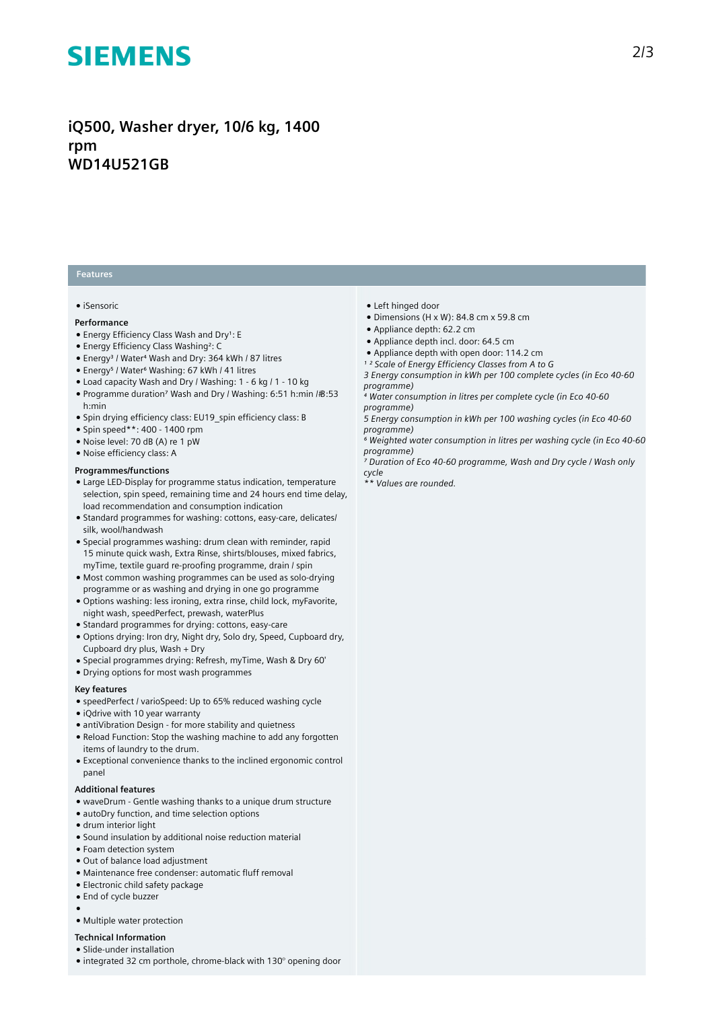# **SIEMENS**

**iQ500, Washer dryer, 10/6 kg, 1400 rpm WD14U521GB**

# **Features**

#### ● iSensoric

#### **Performance**

- Energy Efficiency Class Wash and Dry1: E
- Energy Efficiency Class Washing²: C
- Energy<sup>3</sup> / Water<sup>4</sup> Wash and Dry: 364 kWh / 87 litres
- Energy⁵ / Water⁶ Washing: 67 kWh / 41 litres
- Load capacity Wash and Dry / Washing: 1 6 kg / 1 10 kg
- Programme duration<sup>7</sup> Wash and Dry / Washing: 6:51 h:min /#8:53 h:min
- Spin drying efficiency class: EU19\_spin efficiency class: B
- Spin speed\*\*: 400 1400 rpm
- Noise level: 70 dB (A) re 1 pW
- Noise efficiency class: A

### **Programmes/functions**

- Large LED-Display for programme status indication, temperature selection, spin speed, remaining time and 24 hours end time delay, load recommendation and consumption indication
- Standard programmes for washing: cottons, easy-care, delicates/ silk, wool/handwash
- Special programmes washing: drum clean with reminder, rapid 15 minute quick wash, Extra Rinse, shirts/blouses, mixed fabrics, myTime, textile guard re-proofing programme, drain / spin
- Most common washing programmes can be used as solo-drying programme or as washing and drying in one go programme
- Options washing: less ironing, extra rinse, child lock, myFavorite, night wash, speedPerfect, prewash, waterPlus
- Standard programmes for drying: cottons, easy-care
- Options drying: Iron dry, Night dry, Solo dry, Speed, Cupboard dry, Cupboard dry plus, Wash + Dry
- Special programmes drying: Refresh, myTime, Wash & Dry 60'
- Drying options for most wash programmes

### **Key features**

- speedPerfect / varioSpeed: Up to 65% reduced washing cycle
- iQdrive with 10 year warranty
- antiVibration Design for more stability and quietness
- Reload Function: Stop the washing machine to add any forgotten items of laundry to the drum.
- Exceptional convenience thanks to the inclined ergonomic control panel

#### **Additional features**

- waveDrum Gentle washing thanks to a unique drum structure
- autoDry function, and time selection options
- drum interior light
- Sound insulation by additional noise reduction material
- Foam detection system
- Out of balance load adjustment
- Maintenance free condenser: automatic fluff removal
- Electronic child safety package
- End of cycle buzzer

●

● Multiple water protection

# **Technical Information**

- Slide-under installation
- integrated 32 cm porthole, chrome-black with 130° opening door
- Left hinged door
- Dimensions (H x W): 84.8 cm x 59.8 cm
- Appliance depth: 62.2 cm
- Appliance depth incl. door: 64.5 cm
- Appliance depth with open door: 114.2 cm
- *¹ ² Scale of Energy Efficiency Classes from A to G*
- *3 Energy consumption in kWh per 100 complete cycles (in Eco 40-60 programme)*
- *⁴ Water consumption in litres per complete cycle (in Eco 40-60 programme)*
- *5 Energy consumption in kWh per 100 washing cycles (in Eco 40-60 programme)*
- *⁶ Weighted water consumption in litres per washing cycle (in Eco 40-60 programme)*
- *⁷ Duration of Eco 40-60 programme, Wash and Dry cycle / Wash only cycle*
- *\*\* Values are rounded.*